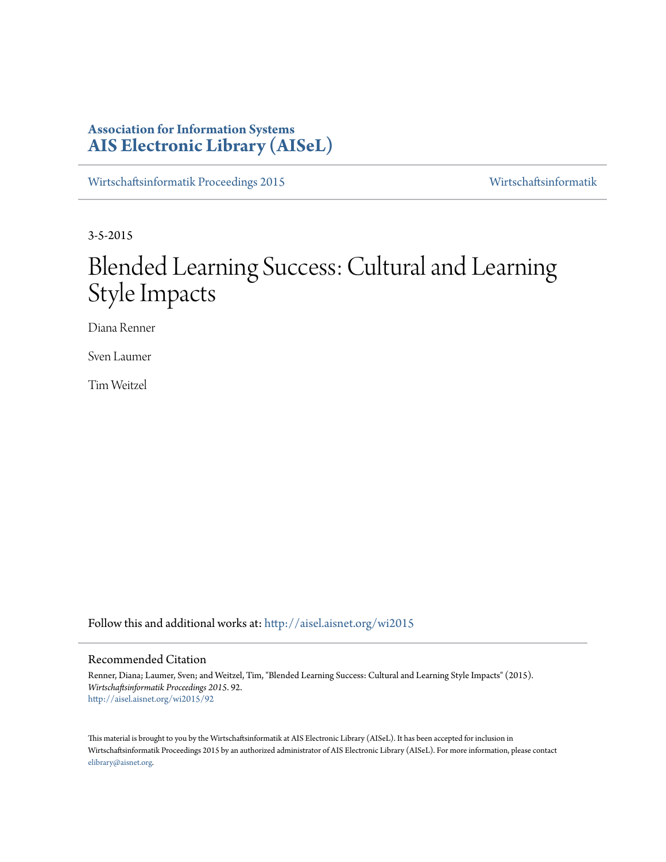# **Association for Information Systems [AIS Electronic Library \(AISeL\)](http://aisel.aisnet.org?utm_source=aisel.aisnet.org%2Fwi2015%2F92&utm_medium=PDF&utm_campaign=PDFCoverPages)**

[Wirtschaftsinformatik Proceedings 2015](http://aisel.aisnet.org/wi2015?utm_source=aisel.aisnet.org%2Fwi2015%2F92&utm_medium=PDF&utm_campaign=PDFCoverPages) [Wirtschaftsinformatik](http://aisel.aisnet.org/wi?utm_source=aisel.aisnet.org%2Fwi2015%2F92&utm_medium=PDF&utm_campaign=PDFCoverPages)

3-5-2015

# Blended Learning Success: Cultural and Learning Style Impacts

Diana Renner

Sven Laumer

Tim Weitzel

Follow this and additional works at: [http://aisel.aisnet.org/wi2015](http://aisel.aisnet.org/wi2015?utm_source=aisel.aisnet.org%2Fwi2015%2F92&utm_medium=PDF&utm_campaign=PDFCoverPages)

## Recommended Citation

Renner, Diana; Laumer, Sven; and Weitzel, Tim, "Blended Learning Success: Cultural and Learning Style Impacts" (2015). *Wirtschaftsinformatik Proceedings 2015*. 92. [http://aisel.aisnet.org/wi2015/92](http://aisel.aisnet.org/wi2015/92?utm_source=aisel.aisnet.org%2Fwi2015%2F92&utm_medium=PDF&utm_campaign=PDFCoverPages)

This material is brought to you by the Wirtschaftsinformatik at AIS Electronic Library (AISeL). It has been accepted for inclusion in Wirtschaftsinformatik Proceedings 2015 by an authorized administrator of AIS Electronic Library (AISeL). For more information, please contact [elibrary@aisnet.org.](mailto:elibrary@aisnet.org%3E)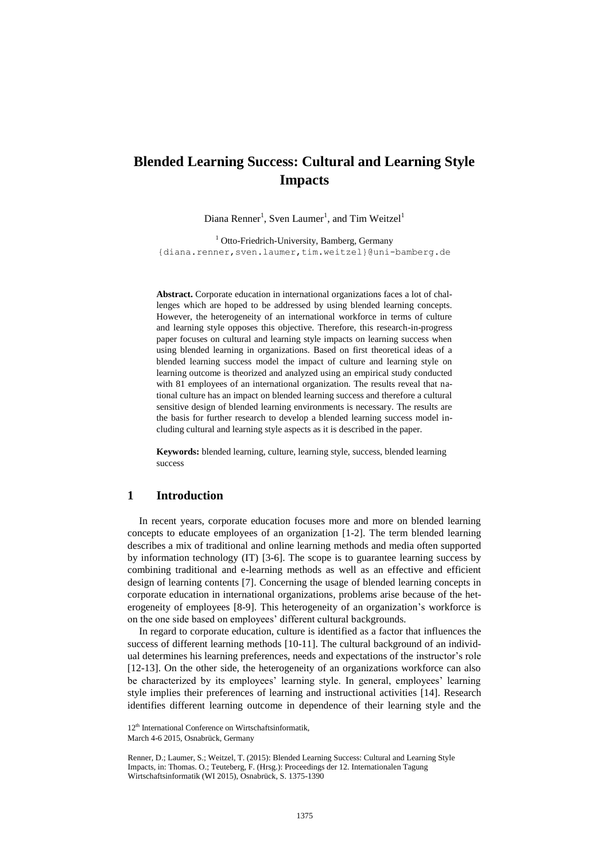# **Blended Learning Success: Cultural and Learning Style Impacts**

Diana Renner<sup>1</sup>, Sven Laumer<sup>1</sup>, and Tim Weitzel<sup>1</sup>

<sup>1</sup> Otto-Friedrich-University, Bamberg, Germany {diana.renner,sven.laumer,tim.weitzel}@uni-bamberg.de

**Abstract.** Corporate education in international organizations faces a lot of challenges which are hoped to be addressed by using blended learning concepts. However, the heterogeneity of an international workforce in terms of culture and learning style opposes this objective. Therefore, this research-in-progress paper focuses on cultural and learning style impacts on learning success when using blended learning in organizations. Based on first theoretical ideas of a blended learning success model the impact of culture and learning style on learning outcome is theorized and analyzed using an empirical study conducted with 81 employees of an international organization. The results reveal that national culture has an impact on blended learning success and therefore a cultural sensitive design of blended learning environments is necessary. The results are the basis for further research to develop a blended learning success model including cultural and learning style aspects as it is described in the paper.

**Keywords:** blended learning, culture, learning style, success, blended learning success

# **1 Introduction**

In recent years, corporate education focuses more and more on blended learning concepts to educate employees of an organization [1-2]. The term blended learning describes a mix of traditional and online learning methods and media often supported by information technology (IT) [3-6]. The scope is to guarantee learning success by combining traditional and e-learning methods as well as an effective and efficient design of learning contents [7]. Concerning the usage of blended learning concepts in corporate education in international organizations, problems arise because of the heterogeneity of employees [8-9]. This heterogeneity of an organization's workforce is on the one side based on employees' different cultural backgrounds.

In regard to corporate education, culture is identified as a factor that influences the success of different learning methods [10-11]. The cultural background of an individual determines his learning preferences, needs and expectations of the instructor's role [12-13]. On the other side, the heterogeneity of an organizations workforce can also be characterized by its employees' learning style. In general, employees' learning style implies their preferences of learning and instructional activities [14]. Research identifies different learning outcome in dependence of their learning style and the

<sup>12&</sup>lt;sup>th</sup> International Conference on Wirtschaftsinformatik,

March 4-6 2015, Osnabrück, Germany

Renner, D.; Laumer, S.; Weitzel, T. (2015): Blended Learning Success: Cultural and Learning Style Impacts, in: Thomas. O.; Teuteberg, F. (Hrsg.): Proceedings der 12. Internationalen Tagung Wirtschaftsinformatik (WI 2015), Osnabrück, S. 1375-1390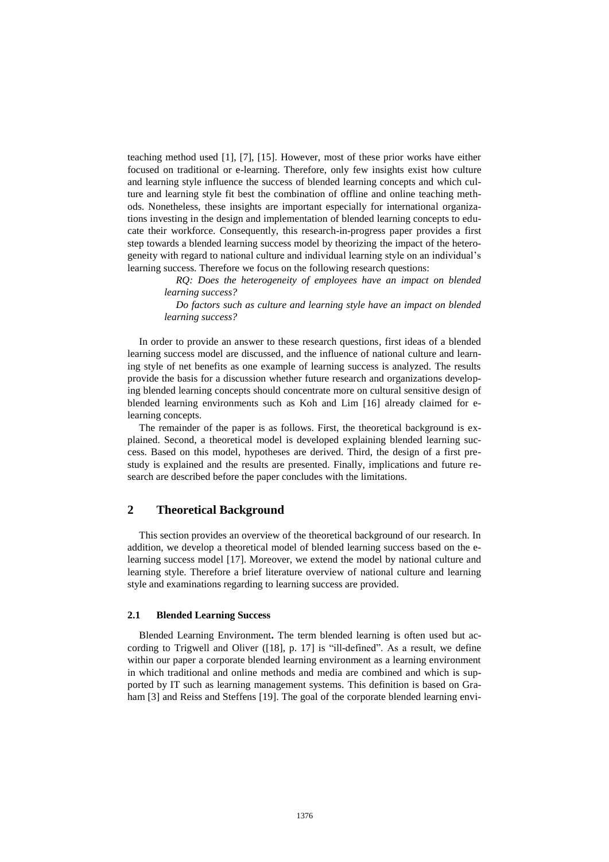teaching method used [1], [7], [15]. However, most of these prior works have either focused on traditional or e-learning. Therefore, only few insights exist how culture and learning style influence the success of blended learning concepts and which culture and learning style fit best the combination of offline and online teaching methods. Nonetheless, these insights are important especially for international organizations investing in the design and implementation of blended learning concepts to educate their workforce. Consequently, this research-in-progress paper provides a first step towards a blended learning success model by theorizing the impact of the heterogeneity with regard to national culture and individual learning style on an individual's learning success. Therefore we focus on the following research questions:

> *RQ: Does the heterogeneity of employees have an impact on blended learning success?*

> *Do factors such as culture and learning style have an impact on blended learning success?*

In order to provide an answer to these research questions, first ideas of a blended learning success model are discussed, and the influence of national culture and learning style of net benefits as one example of learning success is analyzed. The results provide the basis for a discussion whether future research and organizations developing blended learning concepts should concentrate more on cultural sensitive design of blended learning environments such as Koh and Lim [16] already claimed for elearning concepts.

The remainder of the paper is as follows. First, the theoretical background is explained. Second, a theoretical model is developed explaining blended learning success. Based on this model, hypotheses are derived. Third, the design of a first prestudy is explained and the results are presented. Finally, implications and future research are described before the paper concludes with the limitations.

## **2 Theoretical Background**

This section provides an overview of the theoretical background of our research. In addition, we develop a theoretical model of blended learning success based on the elearning success model [17]. Moreover, we extend the model by national culture and learning style. Therefore a brief literature overview of national culture and learning style and examinations regarding to learning success are provided.

#### **2.1 Blended Learning Success**

Blended Learning Environment**.** The term blended learning is often used but according to Trigwell and Oliver ([18], p. 17] is "ill-defined". As a result, we define within our paper a corporate blended learning environment as a learning environment in which traditional and online methods and media are combined and which is supported by IT such as learning management systems. This definition is based on Graham [3] and Reiss and Steffens [19]. The goal of the corporate blended learning envi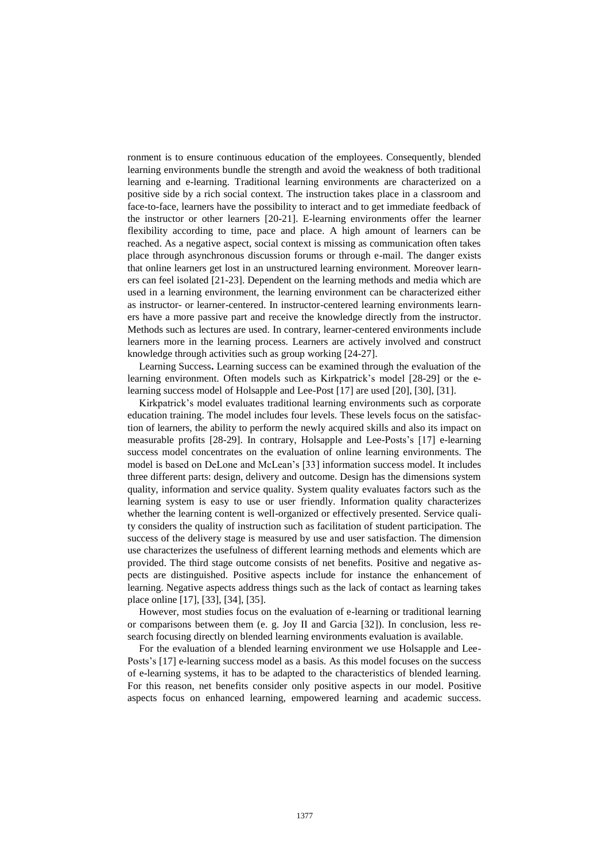ronment is to ensure continuous education of the employees. Consequently, blended learning environments bundle the strength and avoid the weakness of both traditional learning and e-learning. Traditional learning environments are characterized on a positive side by a rich social context. The instruction takes place in a classroom and face-to-face, learners have the possibility to interact and to get immediate feedback of the instructor or other learners [20-21]. E-learning environments offer the learner flexibility according to time, pace and place. A high amount of learners can be reached. As a negative aspect, social context is missing as communication often takes place through asynchronous discussion forums or through e-mail. The danger exists that online learners get lost in an unstructured learning environment. Moreover learners can feel isolated [21-23]. Dependent on the learning methods and media which are used in a learning environment, the learning environment can be characterized either as instructor- or learner-centered. In instructor-centered learning environments learners have a more passive part and receive the knowledge directly from the instructor. Methods such as lectures are used. In contrary, learner-centered environments include learners more in the learning process. Learners are actively involved and construct knowledge through activities such as group working [24-27].

Learning Success**.** Learning success can be examined through the evaluation of the learning environment. Often models such as Kirkpatrick's model [28-29] or the elearning success model of Holsapple and Lee-Post [17] are used [20], [30], [31].

Kirkpatrick's model evaluates traditional learning environments such as corporate education training. The model includes four levels. These levels focus on the satisfaction of learners, the ability to perform the newly acquired skills and also its impact on measurable profits [28-29]. In contrary, Holsapple and Lee-Posts's [17] e-learning success model concentrates on the evaluation of online learning environments. The model is based on DeLone and McLean's [33] information success model. It includes three different parts: design, delivery and outcome. Design has the dimensions system quality, information and service quality. System quality evaluates factors such as the learning system is easy to use or user friendly. Information quality characterizes whether the learning content is well-organized or effectively presented. Service quality considers the quality of instruction such as facilitation of student participation. The success of the delivery stage is measured by use and user satisfaction. The dimension use characterizes the usefulness of different learning methods and elements which are provided. The third stage outcome consists of net benefits. Positive and negative aspects are distinguished. Positive aspects include for instance the enhancement of learning. Negative aspects address things such as the lack of contact as learning takes place online [17], [33], [34], [35].

However, most studies focus on the evaluation of e-learning or traditional learning or comparisons between them (e. g. Joy II and Garcia [32]). In conclusion, less research focusing directly on blended learning environments evaluation is available.

For the evaluation of a blended learning environment we use Holsapple and Lee-Posts's [17] e-learning success model as a basis. As this model focuses on the success of e-learning systems, it has to be adapted to the characteristics of blended learning. For this reason, net benefits consider only positive aspects in our model. Positive aspects focus on enhanced learning, empowered learning and academic success.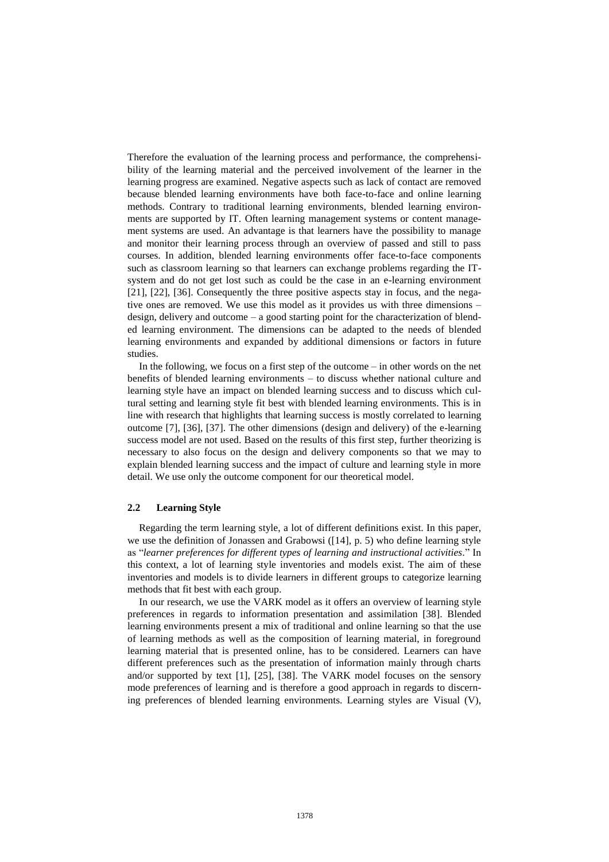Therefore the evaluation of the learning process and performance, the comprehensibility of the learning material and the perceived involvement of the learner in the learning progress are examined. Negative aspects such as lack of contact are removed because blended learning environments have both face-to-face and online learning methods. Contrary to traditional learning environments, blended learning environments are supported by IT. Often learning management systems or content management systems are used. An advantage is that learners have the possibility to manage and monitor their learning process through an overview of passed and still to pass courses. In addition, blended learning environments offer face-to-face components such as classroom learning so that learners can exchange problems regarding the ITsystem and do not get lost such as could be the case in an e-learning environment [21], [22], [36]. Consequently the three positive aspects stay in focus, and the negative ones are removed. We use this model as it provides us with three dimensions – design, delivery and outcome – a good starting point for the characterization of blended learning environment. The dimensions can be adapted to the needs of blended learning environments and expanded by additional dimensions or factors in future studies.

In the following, we focus on a first step of the outcome – in other words on the net benefits of blended learning environments – to discuss whether national culture and learning style have an impact on blended learning success and to discuss which cultural setting and learning style fit best with blended learning environments. This is in line with research that highlights that learning success is mostly correlated to learning outcome [7], [36], [37]. The other dimensions (design and delivery) of the e-learning success model are not used. Based on the results of this first step, further theorizing is necessary to also focus on the design and delivery components so that we may to explain blended learning success and the impact of culture and learning style in more detail. We use only the outcome component for our theoretical model.

#### **2.2 Learning Style**

Regarding the term learning style, a lot of different definitions exist. In this paper, we use the definition of Jonassen and Grabowsi ([14], p. 5) who define learning style as "*learner preferences for different types of learning and instructional activities.*" In this context, a lot of learning style inventories and models exist. The aim of these inventories and models is to divide learners in different groups to categorize learning methods that fit best with each group.

In our research, we use the VARK model as it offers an overview of learning style preferences in regards to information presentation and assimilation [38]. Blended learning environments present a mix of traditional and online learning so that the use of learning methods as well as the composition of learning material, in foreground learning material that is presented online, has to be considered. Learners can have different preferences such as the presentation of information mainly through charts and/or supported by text [1], [25], [38]. The VARK model focuses on the sensory mode preferences of learning and is therefore a good approach in regards to discerning preferences of blended learning environments. Learning styles are Visual (V),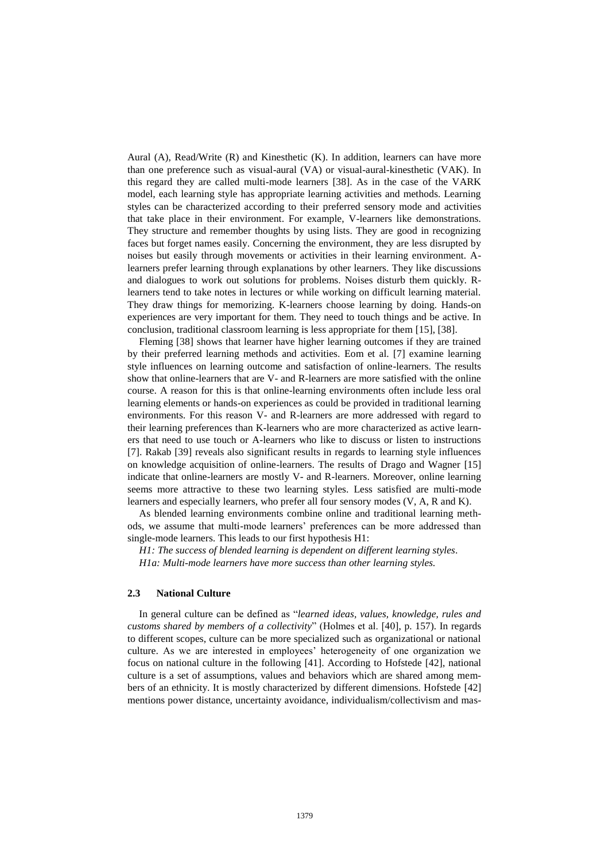Aural (A), Read/Write  $(R)$  and Kinesthetic  $(K)$ . In addition, learners can have more than one preference such as visual-aural (VA) or visual-aural-kinesthetic (VAK). In this regard they are called multi-mode learners [38]. As in the case of the VARK model, each learning style has appropriate learning activities and methods. Learning styles can be characterized according to their preferred sensory mode and activities that take place in their environment. For example, V-learners like demonstrations. They structure and remember thoughts by using lists. They are good in recognizing faces but forget names easily. Concerning the environment, they are less disrupted by noises but easily through movements or activities in their learning environment. Alearners prefer learning through explanations by other learners. They like discussions and dialogues to work out solutions for problems. Noises disturb them quickly. Rlearners tend to take notes in lectures or while working on difficult learning material. They draw things for memorizing. K-learners choose learning by doing. Hands-on experiences are very important for them. They need to touch things and be active. In conclusion, traditional classroom learning is less appropriate for them [15], [38].

Fleming [38] shows that learner have higher learning outcomes if they are trained by their preferred learning methods and activities. Eom et al. [7] examine learning style influences on learning outcome and satisfaction of online-learners. The results show that online-learners that are V- and R-learners are more satisfied with the online course. A reason for this is that online-learning environments often include less oral learning elements or hands-on experiences as could be provided in traditional learning environments. For this reason V- and R-learners are more addressed with regard to their learning preferences than K-learners who are more characterized as active learners that need to use touch or A-learners who like to discuss or listen to instructions [7]. Rakab [39] reveals also significant results in regards to learning style influences on knowledge acquisition of online-learners. The results of Drago and Wagner [15] indicate that online-learners are mostly V- and R-learners. Moreover, online learning seems more attractive to these two learning styles. Less satisfied are multi-mode learners and especially learners, who prefer all four sensory modes (V, A, R and K).

As blended learning environments combine online and traditional learning methods, we assume that multi-mode learners' preferences can be more addressed than single-mode learners. This leads to our first hypothesis H1:

*H1: The success of blended learning is dependent on different learning styles. H1a: Multi-mode learners have more success than other learning styles.*

#### **2.3 National Culture**

In general culture can be defined as "*learned ideas, values, knowledge, rules and customs shared by members of a collectivity*" (Holmes et al. [40], p. 157). In regards to different scopes, culture can be more specialized such as organizational or national culture. As we are interested in employees' heterogeneity of one organization we focus on national culture in the following [41]. According to Hofstede [42], national culture is a set of assumptions, values and behaviors which are shared among members of an ethnicity. It is mostly characterized by different dimensions. Hofstede [42] mentions power distance, uncertainty avoidance, individualism/collectivism and mas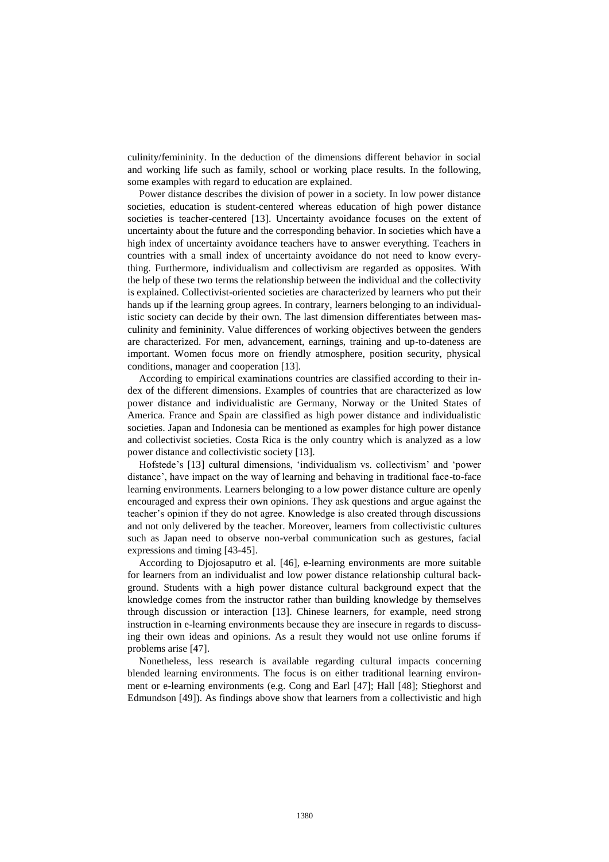culinity/femininity. In the deduction of the dimensions different behavior in social and working life such as family, school or working place results. In the following, some examples with regard to education are explained.

Power distance describes the division of power in a society. In low power distance societies, education is student-centered whereas education of high power distance societies is teacher-centered [13]. Uncertainty avoidance focuses on the extent of uncertainty about the future and the corresponding behavior. In societies which have a high index of uncertainty avoidance teachers have to answer everything. Teachers in countries with a small index of uncertainty avoidance do not need to know everything. Furthermore, individualism and collectivism are regarded as opposites. With the help of these two terms the relationship between the individual and the collectivity is explained. Collectivist-oriented societies are characterized by learners who put their hands up if the learning group agrees. In contrary, learners belonging to an individualistic society can decide by their own. The last dimension differentiates between masculinity and femininity. Value differences of working objectives between the genders are characterized. For men, advancement, earnings, training and up-to-dateness are important. Women focus more on friendly atmosphere, position security, physical conditions, manager and cooperation [13].

According to empirical examinations countries are classified according to their index of the different dimensions. Examples of countries that are characterized as low power distance and individualistic are Germany, Norway or the United States of America. France and Spain are classified as high power distance and individualistic societies. Japan and Indonesia can be mentioned as examples for high power distance and collectivist societies. Costa Rica is the only country which is analyzed as a low power distance and collectivistic society [13].

Hofstede's [13] cultural dimensions, 'individualism vs. collectivism' and 'power distance', have impact on the way of learning and behaving in traditional face-to-face learning environments. Learners belonging to a low power distance culture are openly encouraged and express their own opinions. They ask questions and argue against the teacher's opinion if they do not agree. Knowledge is also created through discussions and not only delivered by the teacher. Moreover, learners from collectivistic cultures such as Japan need to observe non-verbal communication such as gestures, facial expressions and timing [43-45].

According to Djojosaputro et al. [46], e-learning environments are more suitable for learners from an individualist and low power distance relationship cultural background. Students with a high power distance cultural background expect that the knowledge comes from the instructor rather than building knowledge by themselves through discussion or interaction [13]. Chinese learners, for example, need strong instruction in e-learning environments because they are insecure in regards to discussing their own ideas and opinions. As a result they would not use online forums if problems arise [47].

Nonetheless, less research is available regarding cultural impacts concerning blended learning environments. The focus is on either traditional learning environment or e-learning environments (e.g. Cong and Earl [47]; Hall [48]; Stieghorst and Edmundson [49]). As findings above show that learners from a collectivistic and high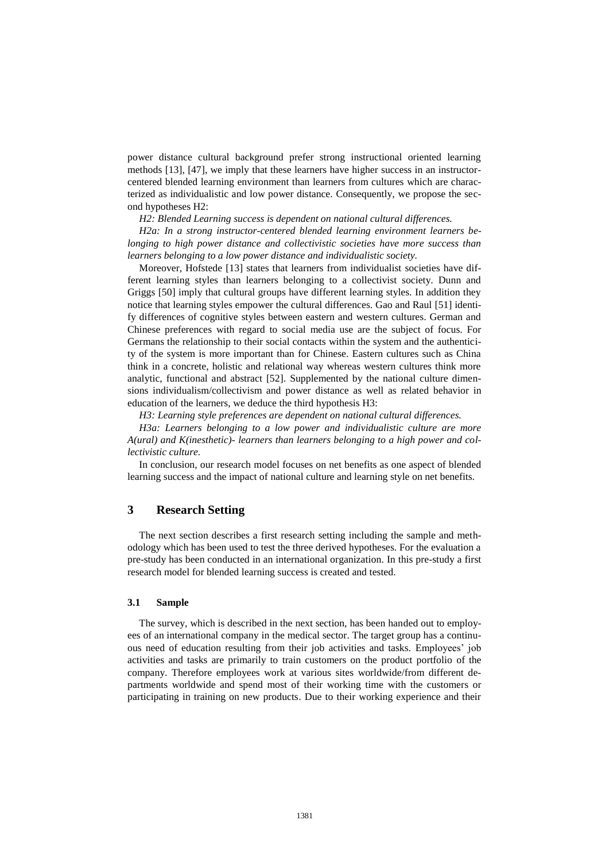power distance cultural background prefer strong instructional oriented learning methods [13], [47], we imply that these learners have higher success in an instructorcentered blended learning environment than learners from cultures which are characterized as individualistic and low power distance. Consequently, we propose the second hypotheses H2:

*H2: Blended Learning success is dependent on national cultural differences.*

*H2a: In a strong instructor-centered blended learning environment learners belonging to high power distance and collectivistic societies have more success than learners belonging to a low power distance and individualistic society.*

Moreover, Hofstede [13] states that learners from individualist societies have different learning styles than learners belonging to a collectivist society. Dunn and Griggs [50] imply that cultural groups have different learning styles. In addition they notice that learning styles empower the cultural differences. Gao and Raul [51] identify differences of cognitive styles between eastern and western cultures. German and Chinese preferences with regard to social media use are the subject of focus. For Germans the relationship to their social contacts within the system and the authenticity of the system is more important than for Chinese. Eastern cultures such as China think in a concrete, holistic and relational way whereas western cultures think more analytic, functional and abstract [52]. Supplemented by the national culture dimensions individualism/collectivism and power distance as well as related behavior in education of the learners, we deduce the third hypothesis H3:

*H3: Learning style preferences are dependent on national cultural differences.*

*H3a: Learners belonging to a low power and individualistic culture are more A(ural) and K(inesthetic)- learners than learners belonging to a high power and collectivistic culture.*

In conclusion, our research model focuses on net benefits as one aspect of blended learning success and the impact of national culture and learning style on net benefits.

# **3 Research Setting**

The next section describes a first research setting including the sample and methodology which has been used to test the three derived hypotheses. For the evaluation a pre-study has been conducted in an international organization. In this pre-study a first research model for blended learning success is created and tested.

#### **3.1 Sample**

The survey, which is described in the next section, has been handed out to employees of an international company in the medical sector. The target group has a continuous need of education resulting from their job activities and tasks. Employees' job activities and tasks are primarily to train customers on the product portfolio of the company. Therefore employees work at various sites worldwide/from different departments worldwide and spend most of their working time with the customers or participating in training on new products. Due to their working experience and their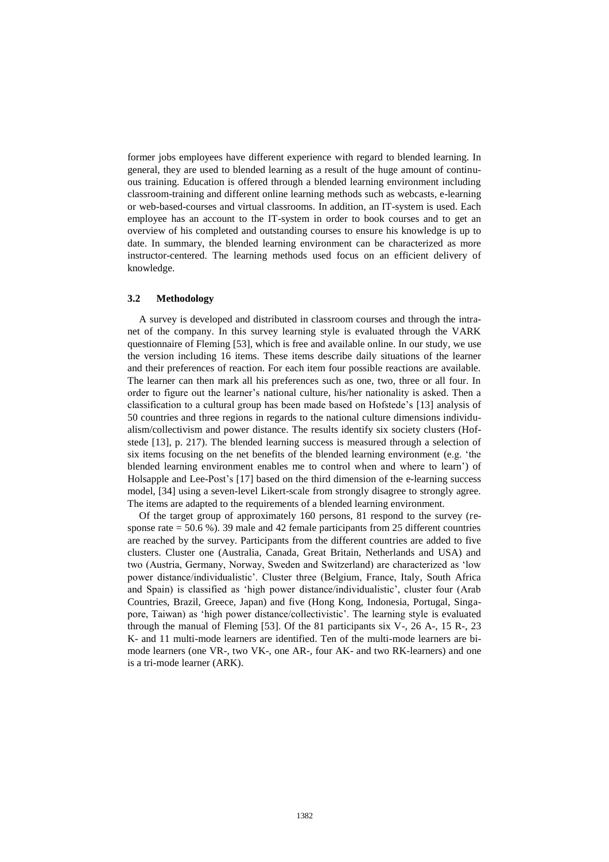former jobs employees have different experience with regard to blended learning. In general, they are used to blended learning as a result of the huge amount of continuous training. Education is offered through a blended learning environment including classroom-training and different online learning methods such as webcasts, e-learning or web-based-courses and virtual classrooms. In addition, an IT-system is used. Each employee has an account to the IT-system in order to book courses and to get an overview of his completed and outstanding courses to ensure his knowledge is up to date. In summary, the blended learning environment can be characterized as more instructor-centered. The learning methods used focus on an efficient delivery of knowledge.

#### **3.2 Methodology**

A survey is developed and distributed in classroom courses and through the intranet of the company. In this survey learning style is evaluated through the VARK questionnaire of Fleming [53], which is free and available online. In our study, we use the version including 16 items. These items describe daily situations of the learner and their preferences of reaction. For each item four possible reactions are available. The learner can then mark all his preferences such as one, two, three or all four. In order to figure out the learner's national culture, his/her nationality is asked. Then a classification to a cultural group has been made based on Hofstede's [13] analysis of 50 countries and three regions in regards to the national culture dimensions individualism/collectivism and power distance. The results identify six society clusters (Hofstede [13], p. 217). The blended learning success is measured through a selection of six items focusing on the net benefits of the blended learning environment (e.g. 'the blended learning environment enables me to control when and where to learn') of Holsapple and Lee-Post's [17] based on the third dimension of the e-learning success model, [34] using a seven-level Likert-scale from strongly disagree to strongly agree. The items are adapted to the requirements of a blended learning environment.

Of the target group of approximately 160 persons, 81 respond to the survey (response rate  $= 50.6 %$ ). 39 male and 42 female participants from 25 different countries are reached by the survey. Participants from the different countries are added to five clusters. Cluster one (Australia, Canada, Great Britain, Netherlands and USA) and two (Austria, Germany, Norway, Sweden and Switzerland) are characterized as 'low power distance/individualistic'. Cluster three (Belgium, France, Italy, South Africa and Spain) is classified as 'high power distance/individualistic', cluster four (Arab Countries, Brazil, Greece, Japan) and five (Hong Kong, Indonesia, Portugal, Singapore, Taiwan) as 'high power distance/collectivistic'. The learning style is evaluated through the manual of Fleming  $[53]$ . Of the 81 participants six V-, 26 A-, 15 R-, 23 K- and 11 multi-mode learners are identified. Ten of the multi-mode learners are bimode learners (one VR-, two VK-, one AR-, four AK- and two RK-learners) and one is a tri-mode learner (ARK).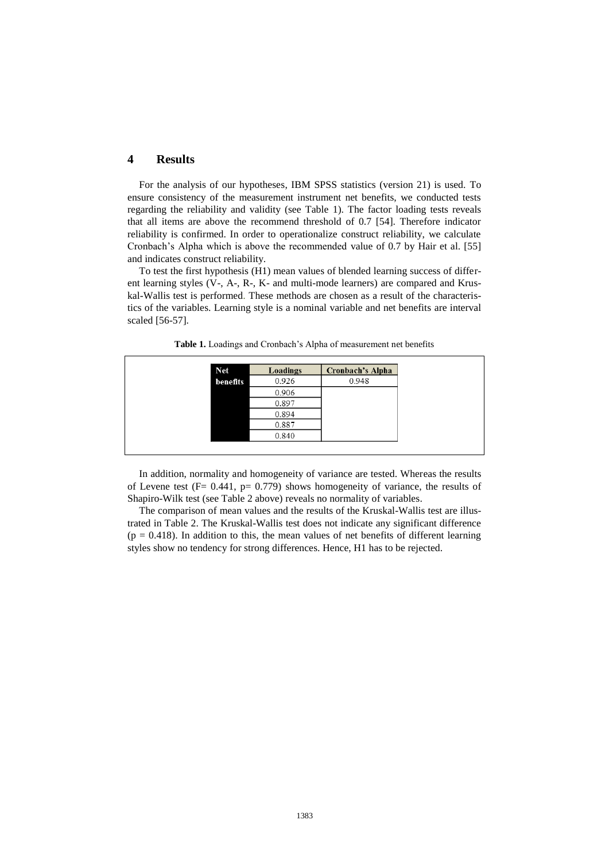# **4 Results**

For the analysis of our hypotheses, IBM SPSS statistics (version 21) is used. To ensure consistency of the measurement instrument net benefits, we conducted tests regarding the reliability and validity (see Table 1). The factor loading tests reveals that all items are above the recommend threshold of 0.7 [54]. Therefore indicator reliability is confirmed. In order to operationalize construct reliability, we calculate Cronbach's Alpha which is above the recommended value of 0.7 by Hair et al. [55] and indicates construct reliability.

To test the first hypothesis (H1) mean values of blended learning success of different learning styles (V-, A-, R-, K- and multi-mode learners) are compared and Kruskal-Wallis test is performed. These methods are chosen as a result of the characteristics of the variables. Learning style is a nominal variable and net benefits are interval scaled [56-57].

| <b>Net</b> | Loadings | <b>Cronbach's Alpha</b> |
|------------|----------|-------------------------|
| benefits   | 0.926    | 0.948                   |
|            | 0.906    |                         |
|            | 0.897    |                         |
|            | 0.894    |                         |
|            | 0.887    |                         |
|            | 0.840    |                         |

**Table 1.** Loadings and Cronbach's Alpha of measurement net benefits

In addition, normality and homogeneity of variance are tested. Whereas the results of Levene test ( $F = 0.441$ ,  $p = 0.779$ ) shows homogeneity of variance, the results of Shapiro-Wilk test (see Table 2 above) reveals no normality of variables.

The comparison of mean values and the results of the Kruskal-Wallis test are illustrated in Table 2. The Kruskal-Wallis test does not indicate any significant difference  $(p = 0.418)$ . In addition to this, the mean values of net benefits of different learning styles show no tendency for strong differences. Hence, H1 has to be rejected.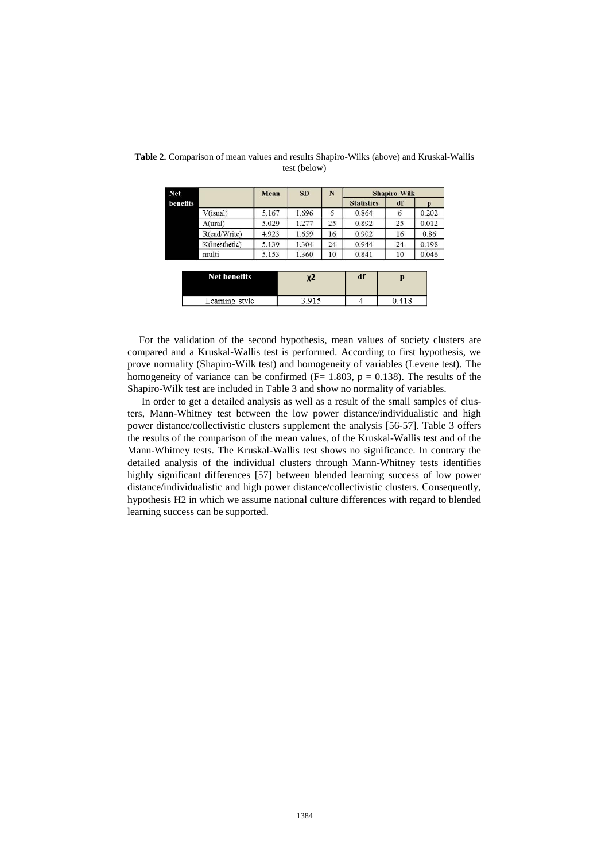| <b>Net</b> |                                       | Mean  | <b>SD</b>      | ${\bf N}$ |                   | <b>Shapiro-Wilk</b> |       |  |
|------------|---------------------------------------|-------|----------------|-----------|-------------------|---------------------|-------|--|
| benefits   |                                       |       |                |           | <b>Statistics</b> | df                  | p     |  |
|            | $V($ isual $)$                        | 5.167 | 1.696          | 6         | 0.864             | 6                   | 0.202 |  |
|            | A(ural)                               | 5.029 | 1.277          | 25        | 0.892             | 25                  | 0.012 |  |
|            | R(ead/Write)                          | 4.923 | 1.659          | 16        | 0.902             | 16                  | 0.86  |  |
|            | K(inesthetic)                         | 5.139 | 1.304          | 24        | 0.944             | 24                  | 0.198 |  |
|            | multi                                 | 5.153 | 1.360          | 10        | 0.841             | 10                  | 0.046 |  |
|            |                                       |       |                |           |                   |                     |       |  |
|            | <b>Net benefits</b><br>Learning style |       | $x^2$<br>3.915 |           | df                | p<br>0.418          |       |  |
|            |                                       |       |                |           | 4                 |                     |       |  |

**Table 2.** Comparison of mean values and results Shapiro-Wilks (above) and Kruskal-Wallis test (below)

For the validation of the second hypothesis, mean values of society clusters are compared and a Kruskal-Wallis test is performed. According to first hypothesis, we prove normality (Shapiro-Wilk test) and homogeneity of variables (Levene test). The homogeneity of variance can be confirmed  $(F= 1.803, p = 0.138)$ . The results of the Shapiro-Wilk test are included in Table 3 and show no normality of variables.

In order to get a detailed analysis as well as a result of the small samples of clusters, Mann-Whitney test between the low power distance/individualistic and high power distance/collectivistic clusters supplement the analysis [56-57]. Table 3 offers the results of the comparison of the mean values, of the Kruskal-Wallis test and of the Mann-Whitney tests. The Kruskal-Wallis test shows no significance. In contrary the detailed analysis of the individual clusters through Mann-Whitney tests identifies highly significant differences [57] between blended learning success of low power distance/individualistic and high power distance/collectivistic clusters. Consequently, hypothesis H2 in which we assume national culture differences with regard to blended learning success can be supported.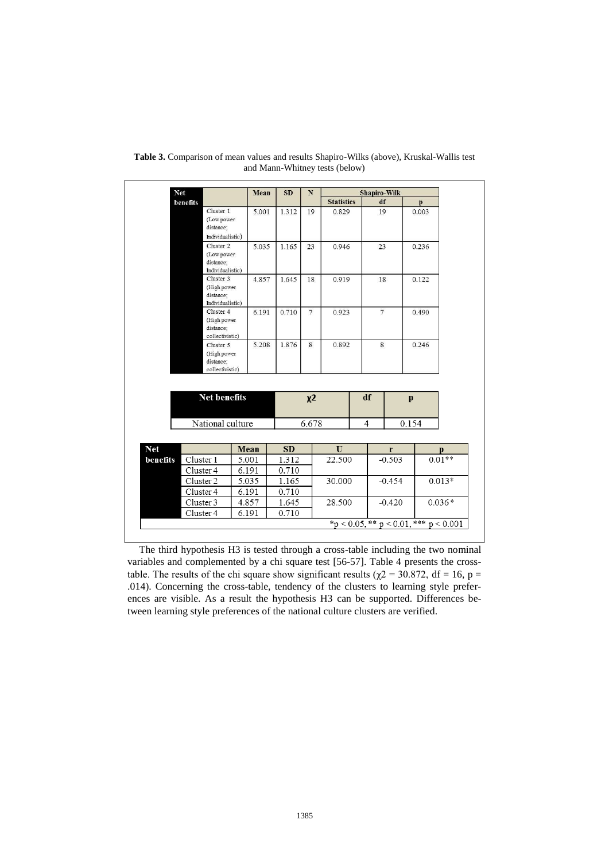|          | <b>Net</b>                    |       | Mean  | <b>SD</b>      | $\mathbf N$    | <b>Shapiro-Wilk</b> |                |          |              |                      |
|----------|-------------------------------|-------|-------|----------------|----------------|---------------------|----------------|----------|--------------|----------------------|
|          | benefits                      |       |       |                |                | <b>Statistics</b>   |                | df       | p            |                      |
|          | Cluster 1                     |       | 5.001 | 1.312          | 19             | 0.829               |                | 19       | 0.003        |                      |
|          | (Low power<br>distance;       |       |       |                |                |                     |                |          |              |                      |
|          | Individualistic)              |       |       |                |                |                     |                |          |              |                      |
|          | Cluster 2                     |       | 5.035 | 1.165          | 23             | 0.946               | 23             |          | 0.236        |                      |
|          | (Low power<br>distance;       |       |       |                |                |                     |                |          |              |                      |
|          | Individualistic)              |       |       |                |                |                     |                |          |              |                      |
|          | Cluster 3                     |       | 4.857 | 1.645          | 18             | 0.919               |                | 18       | 0.122        |                      |
|          | (High power                   |       |       |                |                |                     | $\tau$         |          | 0.490        |                      |
|          | distance;                     |       |       |                |                |                     |                |          |              |                      |
|          | Individualistic)<br>Cluster 4 |       | 6.191 | 0.710          | $\overline{7}$ | 0.923               |                |          |              |                      |
|          | (High power                   |       |       |                |                |                     |                |          |              |                      |
|          | distance;                     |       |       |                |                |                     |                |          |              |                      |
|          | collectivistic)               |       |       |                |                |                     |                |          |              |                      |
|          | Cluster 5                     |       | 5.208 | 1.876          | 8              | 0.892               |                | 8        | 0.246        |                      |
|          | (High power<br>distance;      |       |       |                |                |                     |                |          |              |                      |
|          | collectivistic)               |       |       |                |                |                     |                |          |              |                      |
|          |                               |       |       |                |                |                     |                |          |              |                      |
|          | <b>Net benefits</b>           |       |       |                | $x^2$          |                     | df             |          | $\mathbf{p}$ |                      |
|          | National culture              |       |       |                | 6.678          |                     | $\overline{4}$ |          | 0.154        |                      |
|          |                               | Mean  |       | <b>SD</b>      |                | $\mathbf{U}$        |                | r        |              |                      |
|          | Cluster 1                     | 5.001 |       | 1.312          |                | 22.500              |                | $-0.503$ |              |                      |
|          | Cluster 4                     | 6.191 |       | 0.710          |                |                     |                |          |              | р<br>$0.01**$        |
|          | Cluster 2                     | 5.035 |       |                |                | 30.000              |                | $-0.454$ |              |                      |
|          | Cluster 4                     | 6.191 |       | 1.165<br>0.710 |                |                     |                |          |              |                      |
| benefits | Cluster 3                     | 4.857 |       | 1.645          |                | 28.500              |                | $-0.420$ |              | $0.013*$<br>$0.036*$ |
|          | Cluster 4                     | 6.191 |       | 0.710          |                |                     |                |          |              |                      |

**Table 3.** Comparison of mean values and results Shapiro-Wilks (above), Kruskal-Wallis test and Mann-Whitney tests (below)

The third hypothesis H3 is tested through a cross-table including the two nominal variables and complemented by a chi square test [56-57]. Table 4 presents the crosstable. The results of the chi square show significant results ( $\chi$ 2 = 30.872, df = 16, p = .014). Concerning the cross-table, tendency of the clusters to learning style preferences are visible. As a result the hypothesis H3 can be supported. Differences between learning style preferences of the national culture clusters are verified.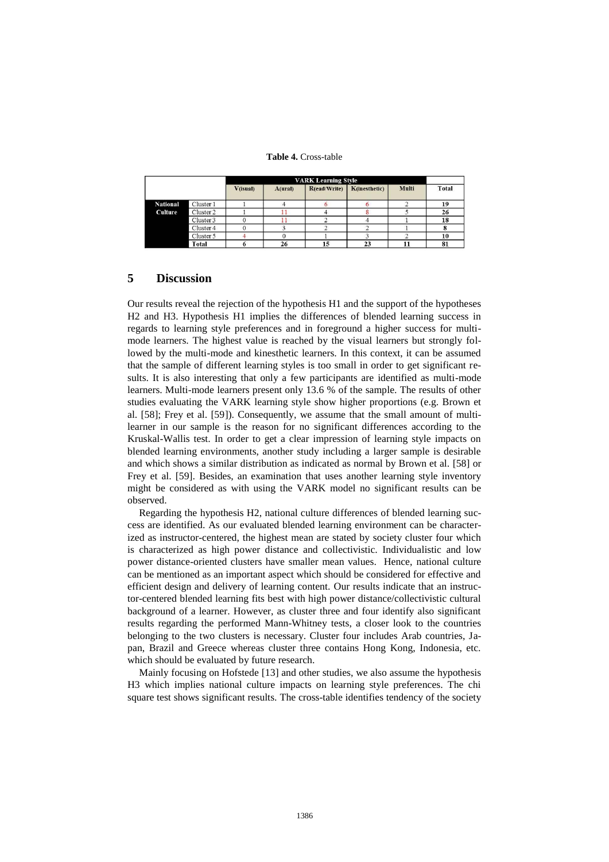#### **Table 4.** Cross-table

|                 |           | $V$ (isual) | A(ural) | R(ead/Write) | K(inesthetic) | Multi | Total |
|-----------------|-----------|-------------|---------|--------------|---------------|-------|-------|
| <b>National</b> | Cluster 1 |             |         |              |               |       | 19    |
| <b>Culture</b>  | Cluster 2 |             |         |              |               |       | 26    |
|                 | Cluster 3 |             |         |              |               |       | 18    |
|                 | Cluster 4 |             |         |              |               |       |       |
|                 | Cluster 5 |             |         |              |               |       | 10    |
|                 | Total     |             | 26      | 15           | 23            |       | 81    |

# **5 Discussion**

Our results reveal the rejection of the hypothesis H1 and the support of the hypotheses H2 and H3. Hypothesis H1 implies the differences of blended learning success in regards to learning style preferences and in foreground a higher success for multimode learners. The highest value is reached by the visual learners but strongly followed by the multi-mode and kinesthetic learners. In this context, it can be assumed that the sample of different learning styles is too small in order to get significant results. It is also interesting that only a few participants are identified as multi-mode learners. Multi-mode learners present only 13.6 % of the sample. The results of other studies evaluating the VARK learning style show higher proportions (e.g. Brown et al. [58]; Frey et al. [59]). Consequently, we assume that the small amount of multilearner in our sample is the reason for no significant differences according to the Kruskal-Wallis test. In order to get a clear impression of learning style impacts on blended learning environments, another study including a larger sample is desirable and which shows a similar distribution as indicated as normal by Brown et al. [58] or Frey et al. [59]. Besides, an examination that uses another learning style inventory might be considered as with using the VARK model no significant results can be observed.

Regarding the hypothesis H2, national culture differences of blended learning success are identified. As our evaluated blended learning environment can be characterized as instructor-centered, the highest mean are stated by society cluster four which is characterized as high power distance and collectivistic. Individualistic and low power distance-oriented clusters have smaller mean values. Hence, national culture can be mentioned as an important aspect which should be considered for effective and efficient design and delivery of learning content. Our results indicate that an instructor-centered blended learning fits best with high power distance/collectivistic cultural background of a learner. However, as cluster three and four identify also significant results regarding the performed Mann-Whitney tests, a closer look to the countries belonging to the two clusters is necessary. Cluster four includes Arab countries, Japan, Brazil and Greece whereas cluster three contains Hong Kong, Indonesia, etc. which should be evaluated by future research.

Mainly focusing on Hofstede [13] and other studies, we also assume the hypothesis H3 which implies national culture impacts on learning style preferences. The chi square test shows significant results. The cross-table identifies tendency of the society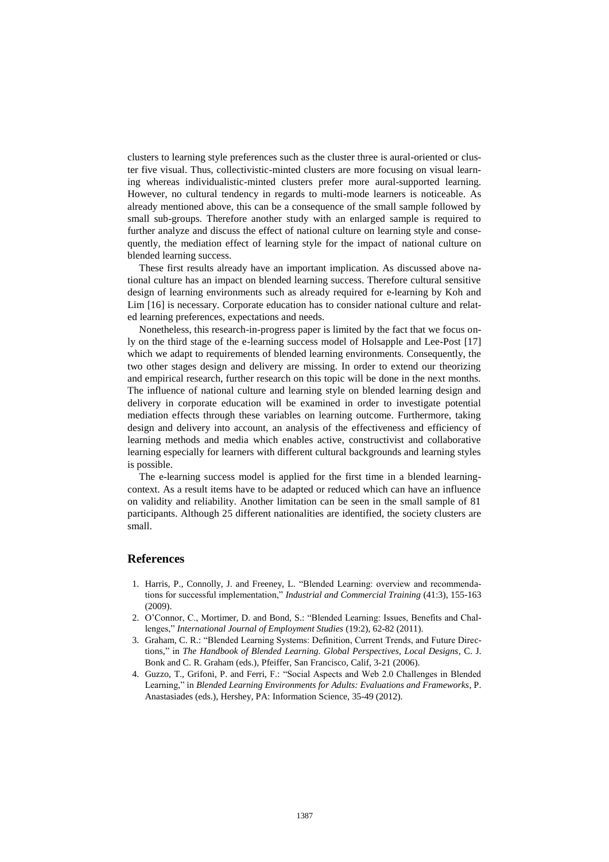clusters to learning style preferences such as the cluster three is aural-oriented or cluster five visual. Thus, collectivistic-minted clusters are more focusing on visual learning whereas individualistic-minted clusters prefer more aural-supported learning. However, no cultural tendency in regards to multi-mode learners is noticeable. As already mentioned above, this can be a consequence of the small sample followed by small sub-groups. Therefore another study with an enlarged sample is required to further analyze and discuss the effect of national culture on learning style and consequently, the mediation effect of learning style for the impact of national culture on blended learning success.

These first results already have an important implication. As discussed above national culture has an impact on blended learning success. Therefore cultural sensitive design of learning environments such as already required for e-learning by Koh and Lim [16] is necessary. Corporate education has to consider national culture and related learning preferences, expectations and needs.

Nonetheless, this research-in-progress paper is limited by the fact that we focus only on the third stage of the e-learning success model of Holsapple and Lee-Post [17] which we adapt to requirements of blended learning environments. Consequently, the two other stages design and delivery are missing. In order to extend our theorizing and empirical research, further research on this topic will be done in the next months. The influence of national culture and learning style on blended learning design and delivery in corporate education will be examined in order to investigate potential mediation effects through these variables on learning outcome. Furthermore, taking design and delivery into account, an analysis of the effectiveness and efficiency of learning methods and media which enables active, constructivist and collaborative learning especially for learners with different cultural backgrounds and learning styles is possible.

The e-learning success model is applied for the first time in a blended learningcontext. As a result items have to be adapted or reduced which can have an influence on validity and reliability. Another limitation can be seen in the small sample of 81 participants. Although 25 different nationalities are identified, the society clusters are small.

### **References**

- 1. Harris, P., Connolly, J. and Freeney, L. "Blended Learning: overview and recommendations for successful implementation," *Industrial and Commercial Training* (41:3), 155-163 (2009).
- 2. O'Connor, C., Mortimer, D. and Bond, S.: "Blended Learning: Issues, Benefits and Challenges," *International Journal of Employment Studies* (19:2), 62-82 (2011).
- 3. Graham, C. R.: "Blended Learning Systems: Definition, Current Trends, and Future Directions," in *The Handbook of Blended Learning. Global Perspectives, Local Designs*, C. J. Bonk and C. R. Graham (eds.), Pfeiffer, San Francisco, Calif, 3-21 (2006).
- 4. Guzzo, T., Grifoni, P. and Ferri, F.: "Social Aspects and Web 2.0 Challenges in Blended Learning," in *Blended Learning Environments for Adults: Evaluations and Frameworks*, P. Anastasiades (eds.), Hershey, PA: Information Science, 35-49 (2012).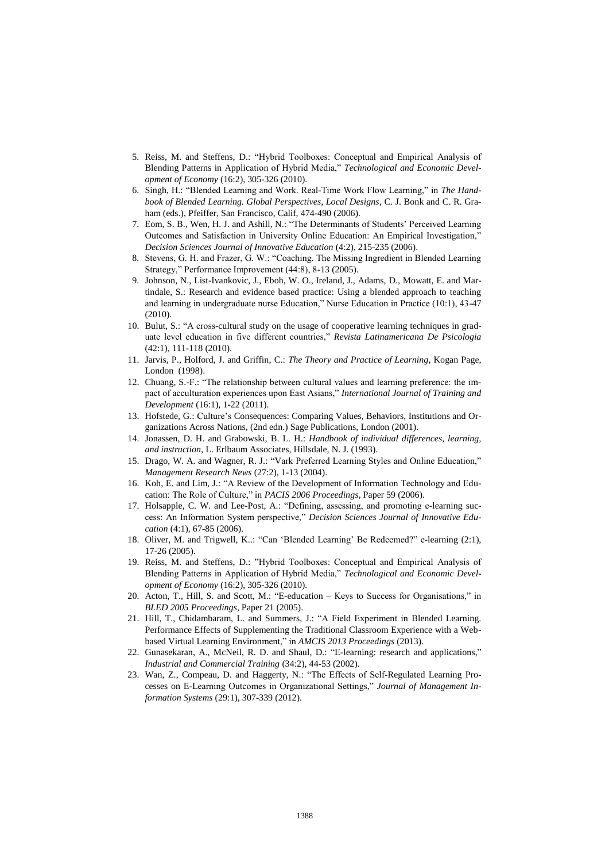- 5. Reiss, M. and Steffens, D.: "Hybrid Toolboxes: Conceptual and Empirical Analysis of Blending Patterns in Application of Hybrid Media," *Technological and Economic Development of Economy* (16:2), 305-326 (2010).
- 6. Singh, H.: "Blended Learning and Work. Real-Time Work Flow Learning," in *The Handbook of Blended Learning. Global Perspectives, Local Designs*, C. J. Bonk and C. R. Graham (eds.), Pfeiffer, San Francisco, Calif, 474-490 (2006).
- 7. Eom, S. B., Wen, H. J. and Ashill, N.: "The Determinants of Students' Perceived Learning Outcomes and Satisfaction in University Online Education: An Empirical Investigation," *Decision Sciences Journal of Innovative Education* (4:2), 215-235 (2006).
- 8. Stevens, G. H. and Frazer, G. W.: "Coaching. The Missing Ingredient in Blended Learning Strategy," Performance Improvement (44:8), 8-13 (2005).
- 9. Johnson, N., List-Ivankovic, J., Eboh, W. O., Ireland, J., Adams, D., Mowatt, E. and Martindale, S.: Research and evidence based practice: Using a blended approach to teaching and learning in undergraduate nurse Education," Nurse Education in Practice (10:1), 43-47 (2010).
- 10. Bulut, S.: "A cross-cultural study on the usage of cooperative learning techniques in graduate level education in five different countries," *Revista Latinamericana De Psicologia* (42:1), 111-118 (2010).
- 11. Jarvis, P., Holford, J. and Griffin, C.: *The Theory and Practice of Learning*, Kogan Page, London (1998).
- 12. Chuang, S.-F.: "The relationship between cultural values and learning preference: the impact of acculturation experiences upon East Asians," *International Journal of Training and Development* (16:1), 1-22 (2011).
- 13. Hofstede, G.: Culture's Consequences: Comparing Values, Behaviors, Institutions and Organizations Across Nations, (2nd edn.) Sage Publications, London (2001).
- 14. Jonassen, D. H. and Grabowski, B. L. H.: *Handbook of individual differences, learning, and instruction*, L. Erlbaum Associates, Hillsdale, N. J. (1993).
- 15. Drago, W. A. and Wagner, R. J.: "Vark Preferred Learning Styles and Online Education," *Management Research News* (27:2), 1-13 (2004).
- 16. Koh, E. and Lim, J.: "A Review of the Development of Information Technology and Education: The Role of Culture," in *PACIS 2006 Proceedings*, Paper 59 (2006).
- 17. Holsapple, C. W. and Lee-Post, A.: "Defining, assessing, and promoting e-learning success: An Information System perspective," *Decision Sciences Journal of Innovative Education* (4:1), 67-85 (2006).
- 18. Oliver, M. and Trigwell, K..: "Can 'Blended Learning' Be Redeemed?" e-learning (2:1), 17-26 (2005).
- 19. Reiss, M. and Steffens, D.: "Hybrid Toolboxes: Conceptual and Empirical Analysis of Blending Patterns in Application of Hybrid Media," *Technological and Economic Development of Economy* (16:2), 305-326 (2010).
- 20. Acton, T., Hill, S. and Scott, M.: "E-education Keys to Success for Organisations," in *BLED 2005 Proceedings*, Paper 21 (2005).
- 21. Hill, T., Chidambaram, L. and Summers, J.: "A Field Experiment in Blended Learning. Performance Effects of Supplementing the Traditional Classroom Experience with a Webbased Virtual Learning Environment," in *AMCIS 2013 Proceedings* (2013).
- 22. Gunasekaran, A., McNeil, R. D. and Shaul, D.: "E-learning: research and applications," *Industrial and Commercial Training* (34:2), 44-53 (2002).
- 23. Wan, Z., Compeau, D. and Haggerty, N.: "The Effects of Self-Regulated Learning Processes on E-Learning Outcomes in Organizational Settings," *Journal of Management Information Systems* (29:1), 307-339 (2012).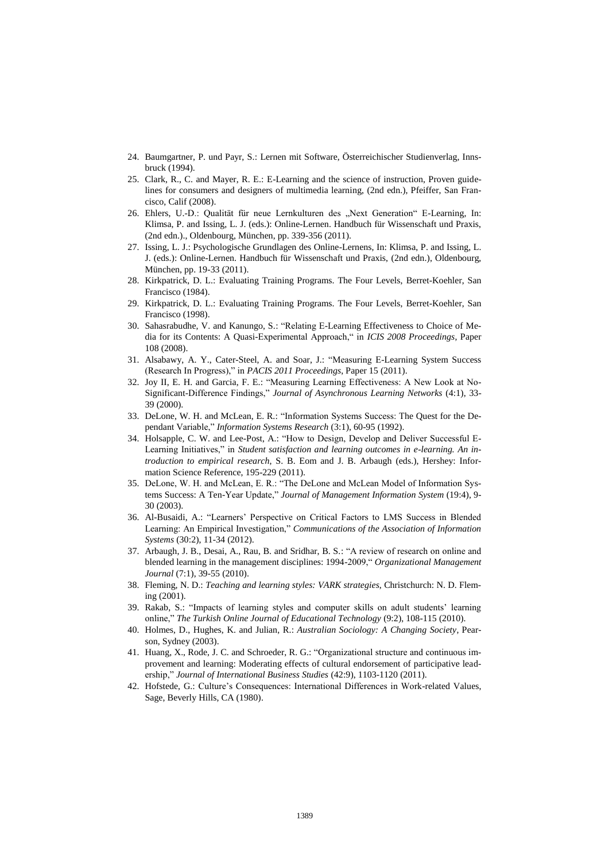- 24. Baumgartner, P. und Payr, S.: Lernen mit Software, Österreichischer Studienverlag, Innsbruck (1994).
- 25. Clark, R., C. and Mayer, R. E.: E-Learning and the science of instruction, Proven guidelines for consumers and designers of multimedia learning, (2nd edn.), Pfeiffer, San Francisco, Calif (2008).
- 26. Ehlers, U.-D.: Qualität für neue Lernkulturen des "Next Generation" E-Learning, In: Klimsa, P. and Issing, L. J. (eds.): Online-Lernen. Handbuch für Wissenschaft und Praxis, (2nd edn.)., Oldenbourg, München, pp. 339-356 (2011).
- 27. Issing, L. J.: Psychologische Grundlagen des Online-Lernens, In: Klimsa, P. and Issing, L. J. (eds.): Online-Lernen. Handbuch für Wissenschaft und Praxis, (2nd edn.), Oldenbourg, München, pp. 19-33 (2011).
- 28. Kirkpatrick, D. L.: Evaluating Training Programs. The Four Levels, Berret-Koehler, San Francisco (1984).
- 29. Kirkpatrick, D. L.: Evaluating Training Programs. The Four Levels, Berret-Koehler, San Francisco (1998).
- 30. Sahasrabudhe, V. and Kanungo, S.: "Relating E-Learning Effectiveness to Choice of Media for its Contents: A Quasi-Experimental Approach," in *ICIS 2008 Proceedings*, Paper 108 (2008).
- 31. Alsabawy, A. Y., Cater-Steel, A. and Soar, J.: "Measuring E-Learning System Success (Research In Progress)," in *PACIS 2011 Proceedings*, Paper 15 (2011).
- 32. Joy II, E. H. and Garcia, F. E.: "Measuring Learning Effectiveness: A New Look at No-Significant-Difference Findings," *Journal of Asynchronous Learning Networks* (4:1), 33- 39 (2000).
- 33. DeLone, W. H. and McLean, E. R.: "Information Systems Success: The Quest for the Dependant Variable," *Information Systems Research* (3:1), 60-95 (1992).
- 34. Holsapple, C. W. and Lee-Post, A.: "How to Design, Develop and Deliver Successful E-Learning Initiatives," in *Student satisfaction and learning outcomes in e-learning. An introduction to empirical research*, S. B. Eom and J. B. Arbaugh (eds.), Hershey: Information Science Reference, 195-229 (2011).
- 35. DeLone, W. H. and McLean, E. R.: "The DeLone and McLean Model of Information Systems Success: A Ten-Year Update," *Journal of Management Information System* (19:4), 9- 30 (2003).
- 36. Al-Busaidi, A.: "Learners' Perspective on Critical Factors to LMS Success in Blended Learning: An Empirical Investigation," *Communications of the Association of Information Systems* (30:2), 11-34 (2012).
- 37. Arbaugh, J. B., Desai, A., Rau, B. and Sridhar, B. S.: "A review of research on online and blended learning in the management disciplines: 1994-2009," *Organizational Management Journal* (7:1), 39-55 (2010).
- 38. Fleming, N. D.: *Teaching and learning styles: VARK strategies*, Christchurch: N. D. Fleming (2001).
- 39. Rakab, S.: "Impacts of learning styles and computer skills on adult students' learning online," *The Turkish Online Journal of Educational Technology* (9:2), 108-115 (2010).
- 40. Holmes, D., Hughes, K. and Julian, R.: *Australian Sociology: A Changing Society*, Pearson, Sydney (2003).
- 41. Huang, X., Rode, J. C. and Schroeder, R. G.: "Organizational structure and continuous improvement and learning: Moderating effects of cultural endorsement of participative leadership," *Journal of International Business Studies* (42:9), 1103-1120 (2011).
- 42. Hofstede, G.: Culture's Consequences: International Differences in Work-related Values, Sage, Beverly Hills, CA (1980).